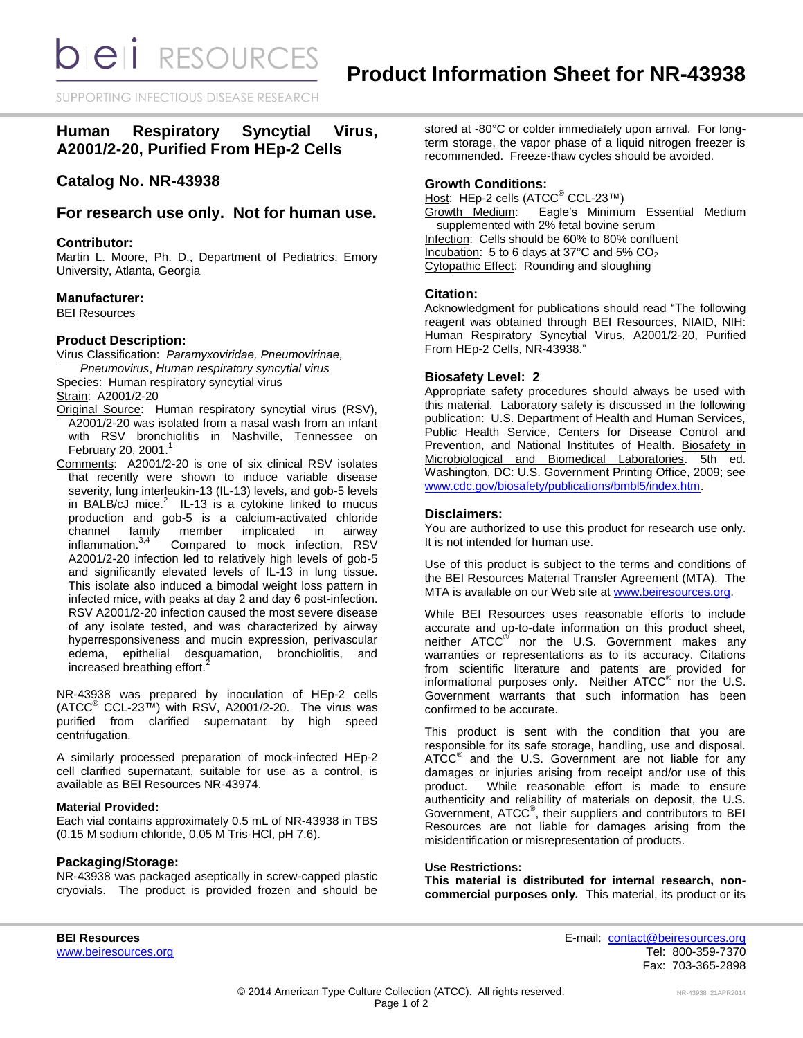*DIEI RESOURCES* 

SUPPORTING INFECTIOUS DISEASE RESEARD

# **Human Respiratory Syncytial Virus, A2001/2-20, Purified From HEp-2 Cells**

# **Catalog No. NR-43938**

# **For research use only. Not for human use.**

## **Contributor:**

Martin L. Moore, Ph. D., Department of Pediatrics, Emory University, Atlanta, Georgia

### **Manufacturer:**

BEI Resources

# **Product Description:**

Virus Classification: *Paramyxoviridae, Pneumovirinae, Pneumovirus*, *Human respiratory syncytial virus*

Species: Human respiratory syncytial virus

Strain: A2001/2-20

- Original Source: Human respiratory syncytial virus (RSV), A2001/2-20 was isolated from a nasal wash from an infant with RSV bronchiolitis in Nashville, Tennessee on February 20, 2001. $^1$
- Comments: A2001/2-20 is one of six clinical RSV isolates that recently were shown to induce variable disease severity, lung interleukin-13 (IL-13) levels, and gob-5 levels in BALB/cJ mice. $^2$  IL-13 is a cytokine linked to mucus production and gob-5 is a calcium-activated chloride channel family member implicated in airway inflammation.<sup>3,4</sup> Compared to mock infection, RSV A2001/2-20 infection led to relatively high levels of gob-5 and significantly elevated levels of IL-13 in lung tissue. This isolate also induced a bimodal weight loss pattern in infected mice, with peaks at day 2 and day 6 post-infection. RSV A2001/2-20 infection caused the most severe disease of any isolate tested, and was characterized by airway hyperresponsiveness and mucin expression, perivascular edema, epithelial desquamation, bronchiolitis, and increased breathing effort.<sup>2</sup>

NR-43938 was prepared by inoculation of HEp-2 cells  $(ATCC<sup>®</sup> CCL-23<sup>™</sup>)$  with RSV, A2001/2-20. The virus was purified from clarified supernatant by high speed centrifugation.

A similarly processed preparation of mock-infected HEp-2 cell clarified supernatant, suitable for use as a control, is available as BEI Resources NR-43974.

# **Material Provided:**

Each vial contains approximately 0.5 mL of NR-43938 in TBS (0.15 M sodium chloride, 0.05 M Tris-HCl, pH 7.6).

#### **Packaging/Storage:**

NR-43938 was packaged aseptically in screw-capped plastic cryovials. The product is provided frozen and should be stored at -80°C or colder immediately upon arrival. For longterm storage, the vapor phase of a liquid nitrogen freezer is recommended. Freeze-thaw cycles should be avoided.

### **Growth Conditions:**

Host: HEp-2 cells (ATCC<sup>®</sup> CCL-23™) Growth Medium: Eagle's Minimum Essential Medium supplemented with 2% fetal bovine serum Infection: Cells should be 60% to 80% confluent Incubation: 5 to 6 days at 37 $^{\circ}$ C and 5% CO<sub>2</sub> Cytopathic Effect: Rounding and sloughing

#### **Citation:**

Acknowledgment for publications should read "The following reagent was obtained through BEI Resources, NIAID, NIH: Human Respiratory Syncytial Virus, A2001/2-20, Purified From HEp-2 Cells, NR-43938."

### **Biosafety Level: 2**

Appropriate safety procedures should always be used with this material. Laboratory safety is discussed in the following publication: U.S. Department of Health and Human Services, Public Health Service, Centers for Disease Control and Prevention, and National Institutes of Health. Biosafety in Microbiological and Biomedical Laboratories. 5th ed. Washington, DC: U.S. Government Printing Office, 2009; see [www.cdc.gov/biosafety/publications/bmbl5/index.htm.](http://www.cdc.gov/biosafety/publications/bmbl5/index.htm)

# **Disclaimers:**

You are authorized to use this product for research use only. It is not intended for human use.

Use of this product is subject to the terms and conditions of the BEI Resources Material Transfer Agreement (MTA). The MTA is available on our Web site at [www.beiresources.org.](http://www.beiresources.org/)

While BEI Resources uses reasonable efforts to include accurate and up-to-date information on this product sheet, neither ATCC<sup>®</sup> nor the U.S. Government makes any warranties or representations as to its accuracy. Citations from scientific literature and patents are provided for informational purposes only. Neither  $ATCC^{\circledast}$  nor the U.S. Government warrants that such information has been confirmed to be accurate.

This product is sent with the condition that you are responsible for its safe storage, handling, use and disposal. ATCC<sup>®</sup> and the U.S. Government are not liable for any damages or injuries arising from receipt and/or use of this product. While reasonable effort is made to ensure authenticity and reliability of materials on deposit, the U.S. Government, ATCC® , their suppliers and contributors to BEI Resources are not liable for damages arising from the misidentification or misrepresentation of products.

#### **Use Restrictions:**

**This material is distributed for internal research, noncommercial purposes only.** This material, its product or its

**BEI Resources** E-mail: [contact@beiresources.org](mailto:contact@beiresources.org) [www.beiresources.org](http://www.beiresources.org/) **Tel: 800-359-7370** Fax: 703-365-2898